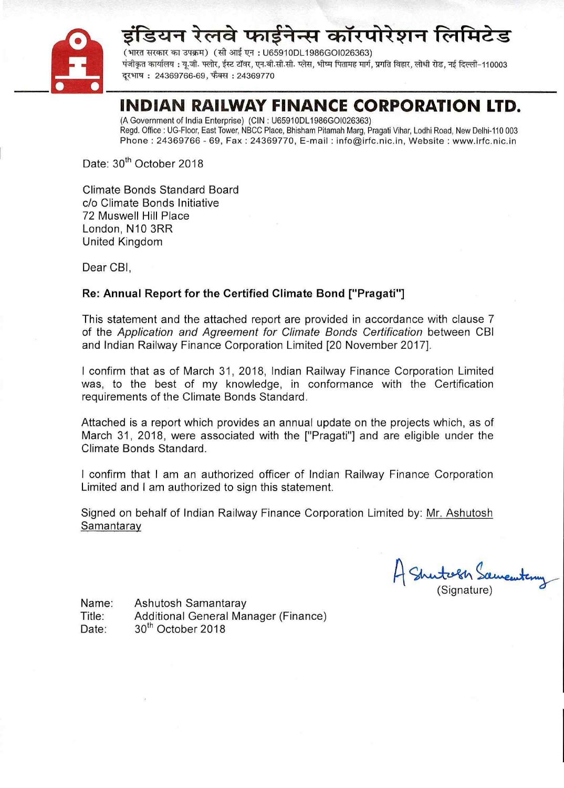



(भारत सरकार का उपक्रम) (सी आई एन: U65910DL1986GOI026363) पंजीकत कार्यालय : य.जी. फ्लोर. ईस्ट टॉवर. एन.बी.सी.सी. प्लेस. भीष्म पितामह मार्ग. प्रगति विहार. लोधी रोड. नई दिल्ली-110003 दरभाष: 24369766-69. फैक्स: 24369770

# INDIAN RAILWAY FINANCE CORPORATION LTD.

(A Government of India Enterprise) (CIN: U65910DL1986GOI026363) Regd. Office : UG-Floor, East Tower, NBCC Place, Bhisham Pitamah Marg, Pragati Vihar, Lodhi Road, New Delhi-110 003 Phone: 24369766 - 69, Fax: 24369770, E-mail: info@irfc.nic.in, Website: www.irfc.nic.in

Date: 30<sup>th</sup> October 2018

Climate Bonds Standard Board c/o Climate Bonds Initiative 72 Muswell Hill Place London, N10 3RR **United Kingdom** 

Dear CBI.

# Re: Annual Report for the Certified Climate Bond ["Pragati"]

This statement and the attached report are provided in accordance with clause 7 of the Application and Agreement for Climate Bonds Certification between CBI and Indian Railway Finance Corporation Limited [20 November 2017].

I confirm that as of March 31, 2018, Indian Railway Finance Corporation Limited was, to the best of my knowledge, in conformance with the Certification requirements of the Climate Bonds Standard.

Attached is a report which provides an annual update on the projects which, as of March 31, 2018, were associated with the ["Pragati"] and are eligible under the Climate Bonds Standard.

I confirm that I am an authorized officer of Indian Railway Finance Corporation Limited and I am authorized to sign this statement.

Signed on behalf of Indian Railway Finance Corporation Limited by: Mr. Ashutosh Samantaray

Signature)

Name: Ashutosh Samantaray Additional General Manager (Finance) Title: 30<sup>th</sup> October 2018 Date: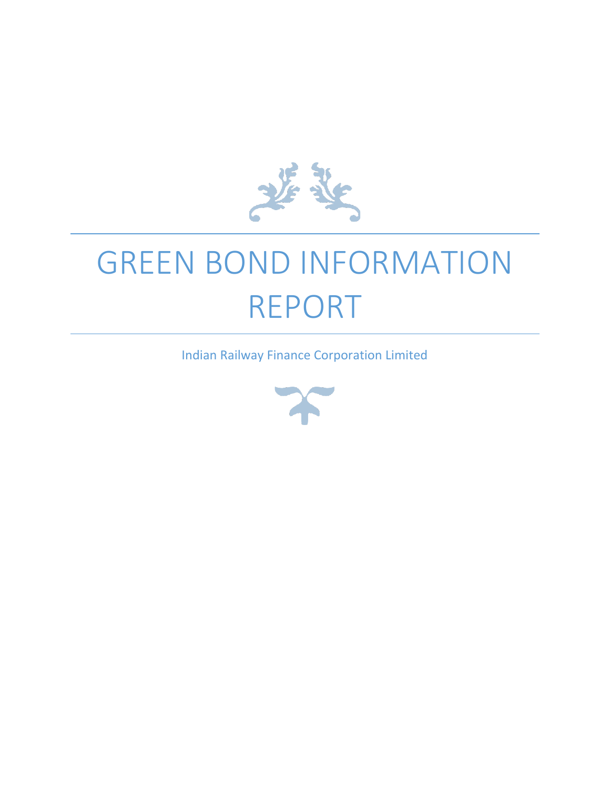

# GREEN BOND INFORMATION REPORT

Indian Railway Finance Corporation Limited

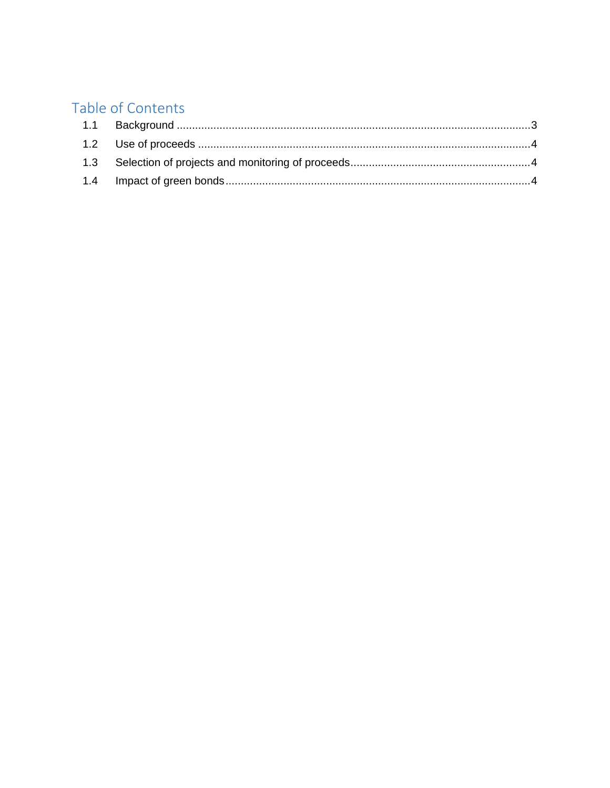# Table of Contents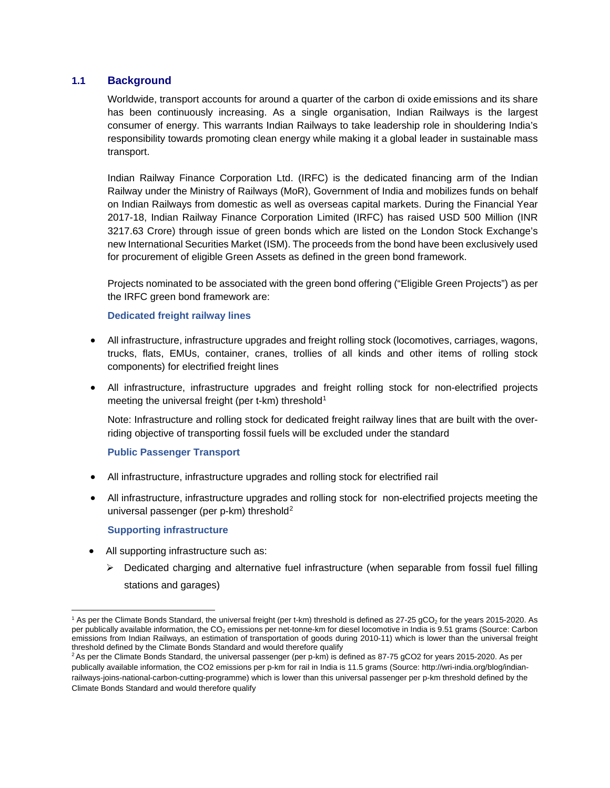## <span id="page-3-0"></span>**1.1 Background**

Worldwide, transport accounts for around a quarter of the carbon di oxide emissions and its share has been continuously increasing. As a single organisation, Indian Railways is the largest consumer of energy. This warrants Indian Railways to take leadership role in shouldering India's responsibility towards promoting clean energy while making it a global leader in sustainable mass transport.

Indian Railway Finance Corporation Ltd. (IRFC) is the dedicated financing arm of the Indian Railway under the Ministry of Railways (MoR), Government of India and mobilizes funds on behalf on Indian Railways from domestic as well as overseas capital markets. During the Financial Year 2017-18, Indian Railway Finance Corporation Limited (IRFC) has raised USD 500 Million (INR 3217.63 Crore) through issue of green bonds which are listed on the London Stock Exchange's new International Securities Market (ISM). The proceeds from the bond have been exclusively used for procurement of eligible Green Assets as defined in the green bond framework.

Projects nominated to be associated with the green bond offering ("Eligible Green Projects") as per the IRFC green bond framework are:

#### **Dedicated freight railway lines**

- All infrastructure, infrastructure upgrades and freight rolling stock (locomotives, carriages, wagons, trucks, flats, EMUs, container, cranes, trollies of all kinds and other items of rolling stock components) for electrified freight lines
- All infrastructure, infrastructure upgrades and freight rolling stock for non-electrified projects meeting the universal freight (per t-km) threshold<sup>[1](#page-3-1)</sup>

Note: Infrastructure and rolling stock for dedicated freight railway lines that are built with the overriding objective of transporting fossil fuels will be excluded under the standard

#### **Public Passenger Transport**

- All infrastructure, infrastructure upgrades and rolling stock for electrified rail
- All infrastructure, infrastructure upgrades and rolling stock for non-electrified projects meeting the universal passenger (per p-km) threshold<sup>[2](#page-3-2)</sup>

#### **Supporting infrastructure**

 $\overline{a}$ 

- All supporting infrastructure such as:
	- $\triangleright$  Dedicated charging and alternative fuel infrastructure (when separable from fossil fuel filling stations and garages)

<span id="page-3-1"></span><sup>&</sup>lt;sup>1</sup> As per the Climate Bonds Standard, the universal freight (per t-km) threshold is defined as 27-25 gCO<sub>2</sub> for the years 2015-2020. As per publically available information, the CO<sub>2</sub> emissions per net-tonne-km for diesel locomotive in India is 9.51 grams (Source: Carbon emissions from Indian Railways, an estimation of transportation of goods during 2010-11) which is lower than the universal freight threshold defined by the Climate Bonds Standard and would therefore qualify

<span id="page-3-2"></span><sup>&</sup>lt;sup>2</sup> As per the Climate Bonds Standard, the universal passenger (per p-km) is defined as 87-75 gCO2 for years 2015-2020. As per publically available information, the CO2 emissions per p-km for rail in India is 11.5 grams (Source: http://wri-india.org/blog/indianrailways-joins-national-carbon-cutting-programme) which is lower than this universal passenger per p-km threshold defined by the Climate Bonds Standard and would therefore qualify